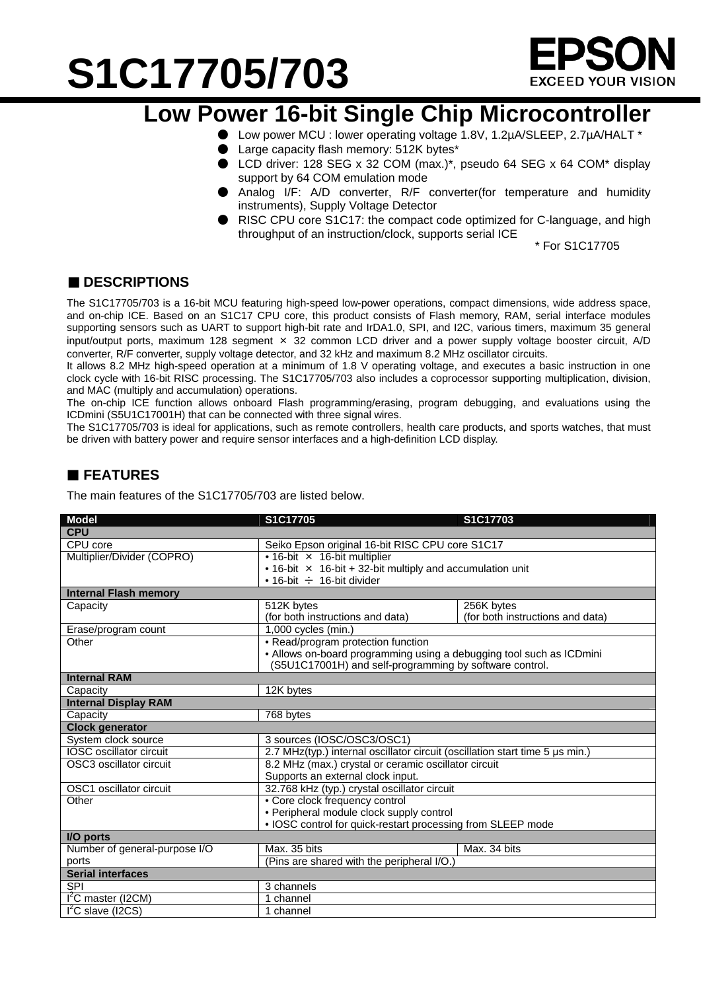# **S1C17705/703**



### **Low Power 16-bit Single Chip Microcontroller**

- Low power MCU : lower operating voltage 1.8V, 1.2µA/SLEEP, 2.7µA/HALT \*
- Large capacity flash memory: 512K bytes\*
- LCD driver: 128 SEG x 32 COM (max.)\*, pseudo 64 SEG x 64 COM\* display support by 64 COM emulation mode
- Analog I/F: A/D converter, R/F converter(for temperature and humidity instruments), Supply Voltage Detector
- RISC CPU core S1C17: the compact code optimized for C-language, and high throughput of an instruction/clock, supports serial ICE

\* For S1C17705

### ■ **DESCRIPTIONS**

The S1C17705/703 is a 16-bit MCU featuring high-speed low-power operations, compact dimensions, wide address space, and on-chip ICE. Based on an S1C17 CPU core, this product consists of Flash memory, RAM, serial interface modules supporting sensors such as UART to support high-bit rate and IrDA1.0, SPI, and I2C, various timers, maximum 35 general input/output ports, maximum 128 segment × 32 common LCD driver and a power supply voltage booster circuit, A/D converter, R/F converter, supply voltage detector, and 32 kHz and maximum 8.2 MHz oscillator circuits.

It allows 8.2 MHz high-speed operation at a minimum of 1.8 V operating voltage, and executes a basic instruction in one clock cycle with 16-bit RISC processing. The S1C17705/703 also includes a coprocessor supporting multiplication, division, and MAC (multiply and accumulation) operations.

The on-chip ICE function allows onboard Flash programming/erasing, program debugging, and evaluations using the ICDmini (S5U1C17001H) that can be connected with three signal wires.

The S1C17705/703 is ideal for applications, such as remote controllers, health care products, and sports watches, that must be driven with battery power and require sensor interfaces and a high-definition LCD display.

### **FEATURES**

The main features of the S1C17705/703 are listed below.

| <b>Model</b>                   | S1C17705                                                                     | S1C17703                         |  |
|--------------------------------|------------------------------------------------------------------------------|----------------------------------|--|
| <b>CPU</b>                     |                                                                              |                                  |  |
| CPU core                       | Seiko Epson original 16-bit RISC CPU core S1C17                              |                                  |  |
| Multiplier/Divider (COPRO)     | • 16-bit × 16-bit multiplier                                                 |                                  |  |
|                                | • 16-bit $\times$ 16-bit + 32-bit multiply and accumulation unit             |                                  |  |
|                                | • 16-bit $\div$ 16-bit divider                                               |                                  |  |
| <b>Internal Flash memory</b>   |                                                                              |                                  |  |
| Capacity                       | 512K bytes                                                                   | 256K bytes                       |  |
|                                | (for both instructions and data)                                             | (for both instructions and data) |  |
| Erase/program count            | 1,000 cycles (min.)                                                          |                                  |  |
| Other                          | • Read/program protection function                                           |                                  |  |
|                                | • Allows on-board programming using a debugging tool such as ICDmini         |                                  |  |
|                                | (S5U1C17001H) and self-programming by software control.                      |                                  |  |
| <b>Internal RAM</b>            |                                                                              |                                  |  |
| Capacity                       | 12K bytes                                                                    |                                  |  |
| <b>Internal Display RAM</b>    |                                                                              |                                  |  |
| Capacity                       | 768 bytes                                                                    |                                  |  |
| <b>Clock generator</b>         |                                                                              |                                  |  |
| System clock source            | 3 sources (IOSC/OSC3/OSC1)                                                   |                                  |  |
| IOSC oscillator circuit        | 2.7 MHz(typ.) internal oscillator circuit (oscillation start time 5 us min.) |                                  |  |
| OSC3 oscillator circuit        | 8.2 MHz (max.) crystal or ceramic oscillator circuit                         |                                  |  |
|                                | Supports an external clock input.                                            |                                  |  |
| OSC1 oscillator circuit        | 32.768 kHz (typ.) crystal oscillator circuit                                 |                                  |  |
| Other                          | • Core clock frequency control                                               |                                  |  |
|                                | • Peripheral module clock supply control                                     |                                  |  |
|                                | • IOSC control for quick-restart processing from SLEEP mode                  |                                  |  |
| I/O ports                      |                                                                              |                                  |  |
| Number of general-purpose I/O  | Max. 35 bits                                                                 | Max. 34 bits                     |  |
| ports                          | (Pins are shared with the peripheral I/O.)                                   |                                  |  |
| <b>Serial interfaces</b>       |                                                                              |                                  |  |
| <b>SPI</b>                     | 3 channels                                                                   |                                  |  |
| I <sup>2</sup> C master (I2CM) | channel                                                                      |                                  |  |
| $I2C$ slave (I2CS)             | 1 channel                                                                    |                                  |  |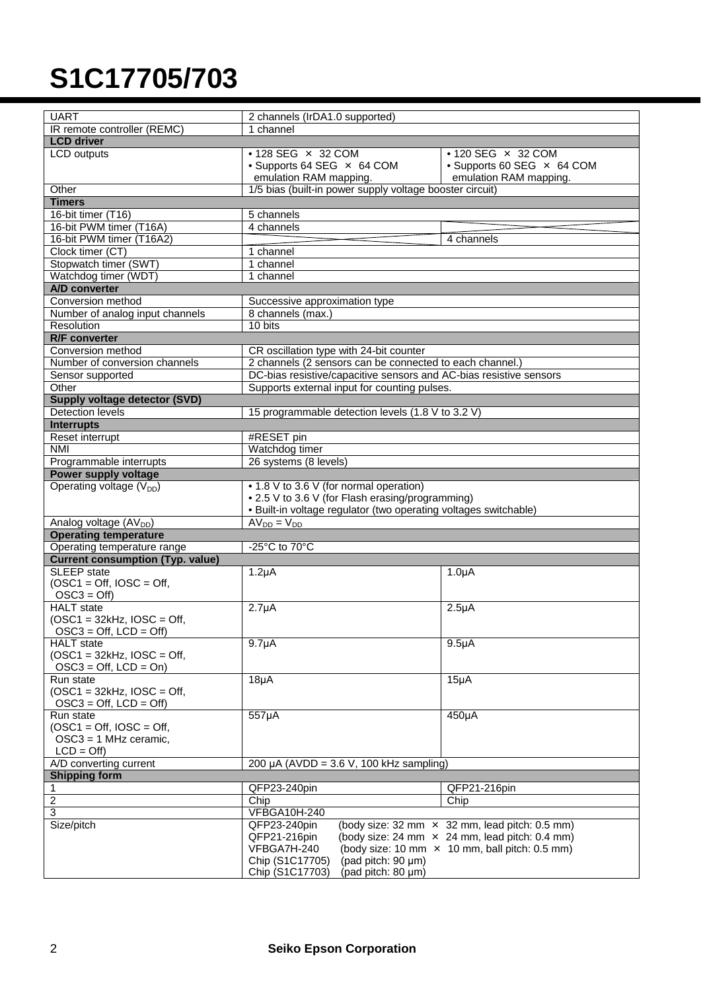## **S1C17705/703**

| <b>UART</b><br>2 channels (IrDA1.0 supported)<br>IR remote controller (REMC)<br>1 channel<br><b>LCD</b> driver<br><b>LCD</b> outputs<br>• 128 SEG × 32 COM<br>$\cdot$ 120 SEG $\times$ 32 COM<br>• Supports 64 SEG × 64 COM<br>• Supports 60 SEG × 64 COM<br>emulation RAM mapping.<br>emulation RAM mapping.<br>1/5 bias (built-in power supply voltage booster circuit)<br>Other<br><b>Timers</b><br>$16$ -bit timer (T16)<br>5 channels<br>16-bit PWM timer (T16A)<br>4 channels<br>16-bit PWM timer (T16A2)<br>4 channels<br>Clock timer (CT)<br>1 channel<br>Stopwatch timer (SWT)<br>1 channel<br>Watchdog timer (WDT)<br>1 channel<br>A/D converter<br>Conversion method<br>Successive approximation type<br>Number of analog input channels<br>8 channels (max.)<br>Resolution<br>10 bits<br><b>R/F</b> converter<br>Conversion method<br>CR oscillation type with 24-bit counter<br>Number of conversion channels<br>2 channels (2 sensors can be connected to each channel.)<br>DC-bias resistive/capacitive sensors and AC-bias resistive sensors<br>Sensor supported<br>Other<br>Supports external input for counting pulses.<br>Supply voltage detector (SVD)<br>Detection levels<br>15 programmable detection levels (1.8 V to 3.2 V)<br><b>Interrupts</b><br>Reset interrupt<br>#RESET pin<br><b>NMI</b><br>Watchdog timer<br>26 systems (8 levels)<br>Programmable interrupts<br>Power supply voltage<br>Operating voltage $(V_{DD})$<br>• 1.8 V to 3.6 V (for normal operation)<br>• 2.5 V to 3.6 V (for Flash erasing/programming)<br>. Built-in voltage regulator (two operating voltages switchable)<br>$AV_{DD} = V_{DD}$<br>Analog voltage (AV <sub>DD</sub> )<br><b>Operating temperature</b><br>Operating temperature range<br>-25 $^{\circ}$ C to 70 $^{\circ}$ C<br><b>Current consumption (Typ. value)</b><br>SLEEP state<br>$1.2\mu A$<br>$1.0\muA$<br>$(OSC1 = Off, IOSC = Off,$<br>$OSC3 = Off$<br><b>HALT</b> state<br>$2.7\muA$<br>$2.5\muA$<br>$(OSC1 = 32kHz, IOSC = Off,$<br>$OSC3 = Off$ , $LCD = Off$<br><b>HALT</b> state<br>$9.7\muA$<br>9.5 <sub>µ</sub> A<br>$(OSC1 = 32kHz, IOSC = Off,$<br>$OSC3 = Off, LCD = On)$<br>$18\mu$ A<br>$15\mu A$<br>Run state<br>$(OSC1 = 32kHz, IOSC = Off,$<br>$OSC3 = Off$ , $LCD = Off$<br>Run state<br>557µA<br>450µA<br>$(OSC1 = Off, IOSC = Off,$<br>$OSC3 = 1$ MHz ceramic,<br>$LCD = Off$<br>A/D converting current<br>200 µA (AVDD = $3.6$ V, 100 kHz sampling)<br><b>Shipping form</b> |  |  |  |
|--------------------------------------------------------------------------------------------------------------------------------------------------------------------------------------------------------------------------------------------------------------------------------------------------------------------------------------------------------------------------------------------------------------------------------------------------------------------------------------------------------------------------------------------------------------------------------------------------------------------------------------------------------------------------------------------------------------------------------------------------------------------------------------------------------------------------------------------------------------------------------------------------------------------------------------------------------------------------------------------------------------------------------------------------------------------------------------------------------------------------------------------------------------------------------------------------------------------------------------------------------------------------------------------------------------------------------------------------------------------------------------------------------------------------------------------------------------------------------------------------------------------------------------------------------------------------------------------------------------------------------------------------------------------------------------------------------------------------------------------------------------------------------------------------------------------------------------------------------------------------------------------------------------------------------------------------------------------------------------------------------------------------------------------------------------------------------------------------------------------------------------------------------------------------------------------------------------------------------------------------------------------------------------------------------------------------------------------------------------------------------------------------------------------------------------------------------------------------|--|--|--|
|                                                                                                                                                                                                                                                                                                                                                                                                                                                                                                                                                                                                                                                                                                                                                                                                                                                                                                                                                                                                                                                                                                                                                                                                                                                                                                                                                                                                                                                                                                                                                                                                                                                                                                                                                                                                                                                                                                                                                                                                                                                                                                                                                                                                                                                                                                                                                                                                                                                                          |  |  |  |
|                                                                                                                                                                                                                                                                                                                                                                                                                                                                                                                                                                                                                                                                                                                                                                                                                                                                                                                                                                                                                                                                                                                                                                                                                                                                                                                                                                                                                                                                                                                                                                                                                                                                                                                                                                                                                                                                                                                                                                                                                                                                                                                                                                                                                                                                                                                                                                                                                                                                          |  |  |  |
|                                                                                                                                                                                                                                                                                                                                                                                                                                                                                                                                                                                                                                                                                                                                                                                                                                                                                                                                                                                                                                                                                                                                                                                                                                                                                                                                                                                                                                                                                                                                                                                                                                                                                                                                                                                                                                                                                                                                                                                                                                                                                                                                                                                                                                                                                                                                                                                                                                                                          |  |  |  |
|                                                                                                                                                                                                                                                                                                                                                                                                                                                                                                                                                                                                                                                                                                                                                                                                                                                                                                                                                                                                                                                                                                                                                                                                                                                                                                                                                                                                                                                                                                                                                                                                                                                                                                                                                                                                                                                                                                                                                                                                                                                                                                                                                                                                                                                                                                                                                                                                                                                                          |  |  |  |
|                                                                                                                                                                                                                                                                                                                                                                                                                                                                                                                                                                                                                                                                                                                                                                                                                                                                                                                                                                                                                                                                                                                                                                                                                                                                                                                                                                                                                                                                                                                                                                                                                                                                                                                                                                                                                                                                                                                                                                                                                                                                                                                                                                                                                                                                                                                                                                                                                                                                          |  |  |  |
|                                                                                                                                                                                                                                                                                                                                                                                                                                                                                                                                                                                                                                                                                                                                                                                                                                                                                                                                                                                                                                                                                                                                                                                                                                                                                                                                                                                                                                                                                                                                                                                                                                                                                                                                                                                                                                                                                                                                                                                                                                                                                                                                                                                                                                                                                                                                                                                                                                                                          |  |  |  |
|                                                                                                                                                                                                                                                                                                                                                                                                                                                                                                                                                                                                                                                                                                                                                                                                                                                                                                                                                                                                                                                                                                                                                                                                                                                                                                                                                                                                                                                                                                                                                                                                                                                                                                                                                                                                                                                                                                                                                                                                                                                                                                                                                                                                                                                                                                                                                                                                                                                                          |  |  |  |
|                                                                                                                                                                                                                                                                                                                                                                                                                                                                                                                                                                                                                                                                                                                                                                                                                                                                                                                                                                                                                                                                                                                                                                                                                                                                                                                                                                                                                                                                                                                                                                                                                                                                                                                                                                                                                                                                                                                                                                                                                                                                                                                                                                                                                                                                                                                                                                                                                                                                          |  |  |  |
|                                                                                                                                                                                                                                                                                                                                                                                                                                                                                                                                                                                                                                                                                                                                                                                                                                                                                                                                                                                                                                                                                                                                                                                                                                                                                                                                                                                                                                                                                                                                                                                                                                                                                                                                                                                                                                                                                                                                                                                                                                                                                                                                                                                                                                                                                                                                                                                                                                                                          |  |  |  |
|                                                                                                                                                                                                                                                                                                                                                                                                                                                                                                                                                                                                                                                                                                                                                                                                                                                                                                                                                                                                                                                                                                                                                                                                                                                                                                                                                                                                                                                                                                                                                                                                                                                                                                                                                                                                                                                                                                                                                                                                                                                                                                                                                                                                                                                                                                                                                                                                                                                                          |  |  |  |
|                                                                                                                                                                                                                                                                                                                                                                                                                                                                                                                                                                                                                                                                                                                                                                                                                                                                                                                                                                                                                                                                                                                                                                                                                                                                                                                                                                                                                                                                                                                                                                                                                                                                                                                                                                                                                                                                                                                                                                                                                                                                                                                                                                                                                                                                                                                                                                                                                                                                          |  |  |  |
|                                                                                                                                                                                                                                                                                                                                                                                                                                                                                                                                                                                                                                                                                                                                                                                                                                                                                                                                                                                                                                                                                                                                                                                                                                                                                                                                                                                                                                                                                                                                                                                                                                                                                                                                                                                                                                                                                                                                                                                                                                                                                                                                                                                                                                                                                                                                                                                                                                                                          |  |  |  |
|                                                                                                                                                                                                                                                                                                                                                                                                                                                                                                                                                                                                                                                                                                                                                                                                                                                                                                                                                                                                                                                                                                                                                                                                                                                                                                                                                                                                                                                                                                                                                                                                                                                                                                                                                                                                                                                                                                                                                                                                                                                                                                                                                                                                                                                                                                                                                                                                                                                                          |  |  |  |
|                                                                                                                                                                                                                                                                                                                                                                                                                                                                                                                                                                                                                                                                                                                                                                                                                                                                                                                                                                                                                                                                                                                                                                                                                                                                                                                                                                                                                                                                                                                                                                                                                                                                                                                                                                                                                                                                                                                                                                                                                                                                                                                                                                                                                                                                                                                                                                                                                                                                          |  |  |  |
|                                                                                                                                                                                                                                                                                                                                                                                                                                                                                                                                                                                                                                                                                                                                                                                                                                                                                                                                                                                                                                                                                                                                                                                                                                                                                                                                                                                                                                                                                                                                                                                                                                                                                                                                                                                                                                                                                                                                                                                                                                                                                                                                                                                                                                                                                                                                                                                                                                                                          |  |  |  |
|                                                                                                                                                                                                                                                                                                                                                                                                                                                                                                                                                                                                                                                                                                                                                                                                                                                                                                                                                                                                                                                                                                                                                                                                                                                                                                                                                                                                                                                                                                                                                                                                                                                                                                                                                                                                                                                                                                                                                                                                                                                                                                                                                                                                                                                                                                                                                                                                                                                                          |  |  |  |
|                                                                                                                                                                                                                                                                                                                                                                                                                                                                                                                                                                                                                                                                                                                                                                                                                                                                                                                                                                                                                                                                                                                                                                                                                                                                                                                                                                                                                                                                                                                                                                                                                                                                                                                                                                                                                                                                                                                                                                                                                                                                                                                                                                                                                                                                                                                                                                                                                                                                          |  |  |  |
|                                                                                                                                                                                                                                                                                                                                                                                                                                                                                                                                                                                                                                                                                                                                                                                                                                                                                                                                                                                                                                                                                                                                                                                                                                                                                                                                                                                                                                                                                                                                                                                                                                                                                                                                                                                                                                                                                                                                                                                                                                                                                                                                                                                                                                                                                                                                                                                                                                                                          |  |  |  |
|                                                                                                                                                                                                                                                                                                                                                                                                                                                                                                                                                                                                                                                                                                                                                                                                                                                                                                                                                                                                                                                                                                                                                                                                                                                                                                                                                                                                                                                                                                                                                                                                                                                                                                                                                                                                                                                                                                                                                                                                                                                                                                                                                                                                                                                                                                                                                                                                                                                                          |  |  |  |
|                                                                                                                                                                                                                                                                                                                                                                                                                                                                                                                                                                                                                                                                                                                                                                                                                                                                                                                                                                                                                                                                                                                                                                                                                                                                                                                                                                                                                                                                                                                                                                                                                                                                                                                                                                                                                                                                                                                                                                                                                                                                                                                                                                                                                                                                                                                                                                                                                                                                          |  |  |  |
|                                                                                                                                                                                                                                                                                                                                                                                                                                                                                                                                                                                                                                                                                                                                                                                                                                                                                                                                                                                                                                                                                                                                                                                                                                                                                                                                                                                                                                                                                                                                                                                                                                                                                                                                                                                                                                                                                                                                                                                                                                                                                                                                                                                                                                                                                                                                                                                                                                                                          |  |  |  |
|                                                                                                                                                                                                                                                                                                                                                                                                                                                                                                                                                                                                                                                                                                                                                                                                                                                                                                                                                                                                                                                                                                                                                                                                                                                                                                                                                                                                                                                                                                                                                                                                                                                                                                                                                                                                                                                                                                                                                                                                                                                                                                                                                                                                                                                                                                                                                                                                                                                                          |  |  |  |
|                                                                                                                                                                                                                                                                                                                                                                                                                                                                                                                                                                                                                                                                                                                                                                                                                                                                                                                                                                                                                                                                                                                                                                                                                                                                                                                                                                                                                                                                                                                                                                                                                                                                                                                                                                                                                                                                                                                                                                                                                                                                                                                                                                                                                                                                                                                                                                                                                                                                          |  |  |  |
|                                                                                                                                                                                                                                                                                                                                                                                                                                                                                                                                                                                                                                                                                                                                                                                                                                                                                                                                                                                                                                                                                                                                                                                                                                                                                                                                                                                                                                                                                                                                                                                                                                                                                                                                                                                                                                                                                                                                                                                                                                                                                                                                                                                                                                                                                                                                                                                                                                                                          |  |  |  |
|                                                                                                                                                                                                                                                                                                                                                                                                                                                                                                                                                                                                                                                                                                                                                                                                                                                                                                                                                                                                                                                                                                                                                                                                                                                                                                                                                                                                                                                                                                                                                                                                                                                                                                                                                                                                                                                                                                                                                                                                                                                                                                                                                                                                                                                                                                                                                                                                                                                                          |  |  |  |
|                                                                                                                                                                                                                                                                                                                                                                                                                                                                                                                                                                                                                                                                                                                                                                                                                                                                                                                                                                                                                                                                                                                                                                                                                                                                                                                                                                                                                                                                                                                                                                                                                                                                                                                                                                                                                                                                                                                                                                                                                                                                                                                                                                                                                                                                                                                                                                                                                                                                          |  |  |  |
|                                                                                                                                                                                                                                                                                                                                                                                                                                                                                                                                                                                                                                                                                                                                                                                                                                                                                                                                                                                                                                                                                                                                                                                                                                                                                                                                                                                                                                                                                                                                                                                                                                                                                                                                                                                                                                                                                                                                                                                                                                                                                                                                                                                                                                                                                                                                                                                                                                                                          |  |  |  |
|                                                                                                                                                                                                                                                                                                                                                                                                                                                                                                                                                                                                                                                                                                                                                                                                                                                                                                                                                                                                                                                                                                                                                                                                                                                                                                                                                                                                                                                                                                                                                                                                                                                                                                                                                                                                                                                                                                                                                                                                                                                                                                                                                                                                                                                                                                                                                                                                                                                                          |  |  |  |
|                                                                                                                                                                                                                                                                                                                                                                                                                                                                                                                                                                                                                                                                                                                                                                                                                                                                                                                                                                                                                                                                                                                                                                                                                                                                                                                                                                                                                                                                                                                                                                                                                                                                                                                                                                                                                                                                                                                                                                                                                                                                                                                                                                                                                                                                                                                                                                                                                                                                          |  |  |  |
|                                                                                                                                                                                                                                                                                                                                                                                                                                                                                                                                                                                                                                                                                                                                                                                                                                                                                                                                                                                                                                                                                                                                                                                                                                                                                                                                                                                                                                                                                                                                                                                                                                                                                                                                                                                                                                                                                                                                                                                                                                                                                                                                                                                                                                                                                                                                                                                                                                                                          |  |  |  |
|                                                                                                                                                                                                                                                                                                                                                                                                                                                                                                                                                                                                                                                                                                                                                                                                                                                                                                                                                                                                                                                                                                                                                                                                                                                                                                                                                                                                                                                                                                                                                                                                                                                                                                                                                                                                                                                                                                                                                                                                                                                                                                                                                                                                                                                                                                                                                                                                                                                                          |  |  |  |
|                                                                                                                                                                                                                                                                                                                                                                                                                                                                                                                                                                                                                                                                                                                                                                                                                                                                                                                                                                                                                                                                                                                                                                                                                                                                                                                                                                                                                                                                                                                                                                                                                                                                                                                                                                                                                                                                                                                                                                                                                                                                                                                                                                                                                                                                                                                                                                                                                                                                          |  |  |  |
|                                                                                                                                                                                                                                                                                                                                                                                                                                                                                                                                                                                                                                                                                                                                                                                                                                                                                                                                                                                                                                                                                                                                                                                                                                                                                                                                                                                                                                                                                                                                                                                                                                                                                                                                                                                                                                                                                                                                                                                                                                                                                                                                                                                                                                                                                                                                                                                                                                                                          |  |  |  |
|                                                                                                                                                                                                                                                                                                                                                                                                                                                                                                                                                                                                                                                                                                                                                                                                                                                                                                                                                                                                                                                                                                                                                                                                                                                                                                                                                                                                                                                                                                                                                                                                                                                                                                                                                                                                                                                                                                                                                                                                                                                                                                                                                                                                                                                                                                                                                                                                                                                                          |  |  |  |
|                                                                                                                                                                                                                                                                                                                                                                                                                                                                                                                                                                                                                                                                                                                                                                                                                                                                                                                                                                                                                                                                                                                                                                                                                                                                                                                                                                                                                                                                                                                                                                                                                                                                                                                                                                                                                                                                                                                                                                                                                                                                                                                                                                                                                                                                                                                                                                                                                                                                          |  |  |  |
|                                                                                                                                                                                                                                                                                                                                                                                                                                                                                                                                                                                                                                                                                                                                                                                                                                                                                                                                                                                                                                                                                                                                                                                                                                                                                                                                                                                                                                                                                                                                                                                                                                                                                                                                                                                                                                                                                                                                                                                                                                                                                                                                                                                                                                                                                                                                                                                                                                                                          |  |  |  |
|                                                                                                                                                                                                                                                                                                                                                                                                                                                                                                                                                                                                                                                                                                                                                                                                                                                                                                                                                                                                                                                                                                                                                                                                                                                                                                                                                                                                                                                                                                                                                                                                                                                                                                                                                                                                                                                                                                                                                                                                                                                                                                                                                                                                                                                                                                                                                                                                                                                                          |  |  |  |
|                                                                                                                                                                                                                                                                                                                                                                                                                                                                                                                                                                                                                                                                                                                                                                                                                                                                                                                                                                                                                                                                                                                                                                                                                                                                                                                                                                                                                                                                                                                                                                                                                                                                                                                                                                                                                                                                                                                                                                                                                                                                                                                                                                                                                                                                                                                                                                                                                                                                          |  |  |  |
|                                                                                                                                                                                                                                                                                                                                                                                                                                                                                                                                                                                                                                                                                                                                                                                                                                                                                                                                                                                                                                                                                                                                                                                                                                                                                                                                                                                                                                                                                                                                                                                                                                                                                                                                                                                                                                                                                                                                                                                                                                                                                                                                                                                                                                                                                                                                                                                                                                                                          |  |  |  |
|                                                                                                                                                                                                                                                                                                                                                                                                                                                                                                                                                                                                                                                                                                                                                                                                                                                                                                                                                                                                                                                                                                                                                                                                                                                                                                                                                                                                                                                                                                                                                                                                                                                                                                                                                                                                                                                                                                                                                                                                                                                                                                                                                                                                                                                                                                                                                                                                                                                                          |  |  |  |
|                                                                                                                                                                                                                                                                                                                                                                                                                                                                                                                                                                                                                                                                                                                                                                                                                                                                                                                                                                                                                                                                                                                                                                                                                                                                                                                                                                                                                                                                                                                                                                                                                                                                                                                                                                                                                                                                                                                                                                                                                                                                                                                                                                                                                                                                                                                                                                                                                                                                          |  |  |  |
|                                                                                                                                                                                                                                                                                                                                                                                                                                                                                                                                                                                                                                                                                                                                                                                                                                                                                                                                                                                                                                                                                                                                                                                                                                                                                                                                                                                                                                                                                                                                                                                                                                                                                                                                                                                                                                                                                                                                                                                                                                                                                                                                                                                                                                                                                                                                                                                                                                                                          |  |  |  |
|                                                                                                                                                                                                                                                                                                                                                                                                                                                                                                                                                                                                                                                                                                                                                                                                                                                                                                                                                                                                                                                                                                                                                                                                                                                                                                                                                                                                                                                                                                                                                                                                                                                                                                                                                                                                                                                                                                                                                                                                                                                                                                                                                                                                                                                                                                                                                                                                                                                                          |  |  |  |
|                                                                                                                                                                                                                                                                                                                                                                                                                                                                                                                                                                                                                                                                                                                                                                                                                                                                                                                                                                                                                                                                                                                                                                                                                                                                                                                                                                                                                                                                                                                                                                                                                                                                                                                                                                                                                                                                                                                                                                                                                                                                                                                                                                                                                                                                                                                                                                                                                                                                          |  |  |  |
|                                                                                                                                                                                                                                                                                                                                                                                                                                                                                                                                                                                                                                                                                                                                                                                                                                                                                                                                                                                                                                                                                                                                                                                                                                                                                                                                                                                                                                                                                                                                                                                                                                                                                                                                                                                                                                                                                                                                                                                                                                                                                                                                                                                                                                                                                                                                                                                                                                                                          |  |  |  |
|                                                                                                                                                                                                                                                                                                                                                                                                                                                                                                                                                                                                                                                                                                                                                                                                                                                                                                                                                                                                                                                                                                                                                                                                                                                                                                                                                                                                                                                                                                                                                                                                                                                                                                                                                                                                                                                                                                                                                                                                                                                                                                                                                                                                                                                                                                                                                                                                                                                                          |  |  |  |
|                                                                                                                                                                                                                                                                                                                                                                                                                                                                                                                                                                                                                                                                                                                                                                                                                                                                                                                                                                                                                                                                                                                                                                                                                                                                                                                                                                                                                                                                                                                                                                                                                                                                                                                                                                                                                                                                                                                                                                                                                                                                                                                                                                                                                                                                                                                                                                                                                                                                          |  |  |  |
|                                                                                                                                                                                                                                                                                                                                                                                                                                                                                                                                                                                                                                                                                                                                                                                                                                                                                                                                                                                                                                                                                                                                                                                                                                                                                                                                                                                                                                                                                                                                                                                                                                                                                                                                                                                                                                                                                                                                                                                                                                                                                                                                                                                                                                                                                                                                                                                                                                                                          |  |  |  |
|                                                                                                                                                                                                                                                                                                                                                                                                                                                                                                                                                                                                                                                                                                                                                                                                                                                                                                                                                                                                                                                                                                                                                                                                                                                                                                                                                                                                                                                                                                                                                                                                                                                                                                                                                                                                                                                                                                                                                                                                                                                                                                                                                                                                                                                                                                                                                                                                                                                                          |  |  |  |
|                                                                                                                                                                                                                                                                                                                                                                                                                                                                                                                                                                                                                                                                                                                                                                                                                                                                                                                                                                                                                                                                                                                                                                                                                                                                                                                                                                                                                                                                                                                                                                                                                                                                                                                                                                                                                                                                                                                                                                                                                                                                                                                                                                                                                                                                                                                                                                                                                                                                          |  |  |  |
|                                                                                                                                                                                                                                                                                                                                                                                                                                                                                                                                                                                                                                                                                                                                                                                                                                                                                                                                                                                                                                                                                                                                                                                                                                                                                                                                                                                                                                                                                                                                                                                                                                                                                                                                                                                                                                                                                                                                                                                                                                                                                                                                                                                                                                                                                                                                                                                                                                                                          |  |  |  |
|                                                                                                                                                                                                                                                                                                                                                                                                                                                                                                                                                                                                                                                                                                                                                                                                                                                                                                                                                                                                                                                                                                                                                                                                                                                                                                                                                                                                                                                                                                                                                                                                                                                                                                                                                                                                                                                                                                                                                                                                                                                                                                                                                                                                                                                                                                                                                                                                                                                                          |  |  |  |
|                                                                                                                                                                                                                                                                                                                                                                                                                                                                                                                                                                                                                                                                                                                                                                                                                                                                                                                                                                                                                                                                                                                                                                                                                                                                                                                                                                                                                                                                                                                                                                                                                                                                                                                                                                                                                                                                                                                                                                                                                                                                                                                                                                                                                                                                                                                                                                                                                                                                          |  |  |  |
|                                                                                                                                                                                                                                                                                                                                                                                                                                                                                                                                                                                                                                                                                                                                                                                                                                                                                                                                                                                                                                                                                                                                                                                                                                                                                                                                                                                                                                                                                                                                                                                                                                                                                                                                                                                                                                                                                                                                                                                                                                                                                                                                                                                                                                                                                                                                                                                                                                                                          |  |  |  |
|                                                                                                                                                                                                                                                                                                                                                                                                                                                                                                                                                                                                                                                                                                                                                                                                                                                                                                                                                                                                                                                                                                                                                                                                                                                                                                                                                                                                                                                                                                                                                                                                                                                                                                                                                                                                                                                                                                                                                                                                                                                                                                                                                                                                                                                                                                                                                                                                                                                                          |  |  |  |
| 1<br>QFP23-240pin<br>QFP21-216pin                                                                                                                                                                                                                                                                                                                                                                                                                                                                                                                                                                                                                                                                                                                                                                                                                                                                                                                                                                                                                                                                                                                                                                                                                                                                                                                                                                                                                                                                                                                                                                                                                                                                                                                                                                                                                                                                                                                                                                                                                                                                                                                                                                                                                                                                                                                                                                                                                                        |  |  |  |
| $\overline{2}$<br>Chip<br>Chip                                                                                                                                                                                                                                                                                                                                                                                                                                                                                                                                                                                                                                                                                                                                                                                                                                                                                                                                                                                                                                                                                                                                                                                                                                                                                                                                                                                                                                                                                                                                                                                                                                                                                                                                                                                                                                                                                                                                                                                                                                                                                                                                                                                                                                                                                                                                                                                                                                           |  |  |  |
| 3<br>VFBGA10H-240                                                                                                                                                                                                                                                                                                                                                                                                                                                                                                                                                                                                                                                                                                                                                                                                                                                                                                                                                                                                                                                                                                                                                                                                                                                                                                                                                                                                                                                                                                                                                                                                                                                                                                                                                                                                                                                                                                                                                                                                                                                                                                                                                                                                                                                                                                                                                                                                                                                        |  |  |  |
| Size/pitch<br>QFP23-240pin<br>(body size: 32 mm × 32 mm, lead pitch: 0.5 mm)                                                                                                                                                                                                                                                                                                                                                                                                                                                                                                                                                                                                                                                                                                                                                                                                                                                                                                                                                                                                                                                                                                                                                                                                                                                                                                                                                                                                                                                                                                                                                                                                                                                                                                                                                                                                                                                                                                                                                                                                                                                                                                                                                                                                                                                                                                                                                                                             |  |  |  |
|                                                                                                                                                                                                                                                                                                                                                                                                                                                                                                                                                                                                                                                                                                                                                                                                                                                                                                                                                                                                                                                                                                                                                                                                                                                                                                                                                                                                                                                                                                                                                                                                                                                                                                                                                                                                                                                                                                                                                                                                                                                                                                                                                                                                                                                                                                                                                                                                                                                                          |  |  |  |
|                                                                                                                                                                                                                                                                                                                                                                                                                                                                                                                                                                                                                                                                                                                                                                                                                                                                                                                                                                                                                                                                                                                                                                                                                                                                                                                                                                                                                                                                                                                                                                                                                                                                                                                                                                                                                                                                                                                                                                                                                                                                                                                                                                                                                                                                                                                                                                                                                                                                          |  |  |  |
| (body size: 24 mm $\times$ 24 mm, lead pitch: 0.4 mm)<br>QFP21-216pin                                                                                                                                                                                                                                                                                                                                                                                                                                                                                                                                                                                                                                                                                                                                                                                                                                                                                                                                                                                                                                                                                                                                                                                                                                                                                                                                                                                                                                                                                                                                                                                                                                                                                                                                                                                                                                                                                                                                                                                                                                                                                                                                                                                                                                                                                                                                                                                                    |  |  |  |
| VFBGA7H-240<br>(body size: 10 mm $\times$ 10 mm, ball pitch: 0.5 mm)<br>(pad pitch: 90 µm)<br>Chip (S1C17705)                                                                                                                                                                                                                                                                                                                                                                                                                                                                                                                                                                                                                                                                                                                                                                                                                                                                                                                                                                                                                                                                                                                                                                                                                                                                                                                                                                                                                                                                                                                                                                                                                                                                                                                                                                                                                                                                                                                                                                                                                                                                                                                                                                                                                                                                                                                                                            |  |  |  |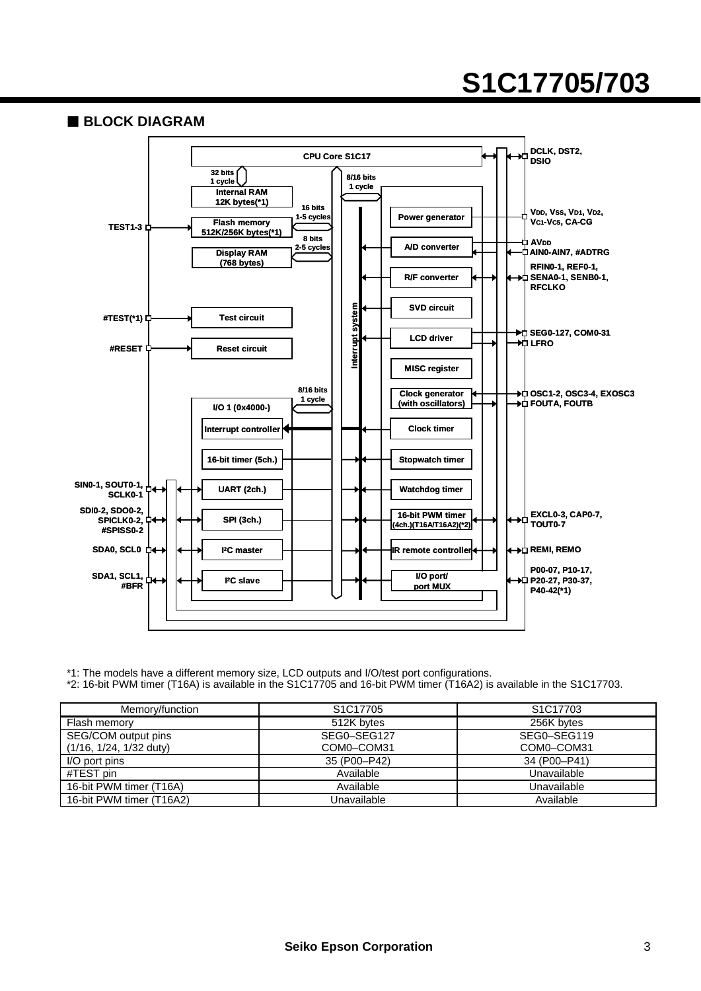### **S1C17705/703**



\*1: The models have a different memory size, LCD outputs and I/O/test port configurations.

\*2: 16-bit PWM timer (T16A) is available in the S1C17705 and 16-bit PWM timer (T16A2) is available in the S1C17703.

| Memory/function           | S <sub>1</sub> C <sub>17705</sub> | S <sub>1</sub> C <sub>17703</sub> |
|---------------------------|-----------------------------------|-----------------------------------|
| Flash memory              | 512K bytes                        | 256K bytes                        |
| SEG/COM output pins       | SEG0-SEG127                       | SEG0-SEG119                       |
| $(1/16, 1/24, 1/32$ duty) | COM0-COM31                        | COM0-COM31                        |
| I/O port pins             | 35 (P00-P42)                      | 34 (P00-P41)                      |
| #TEST pin                 | Available                         | Unavailable                       |
| 16-bit PWM timer (T16A)   | Available                         | Unavailable                       |
| 16-bit PWM timer (T16A2)  | Unavailable                       | Available                         |